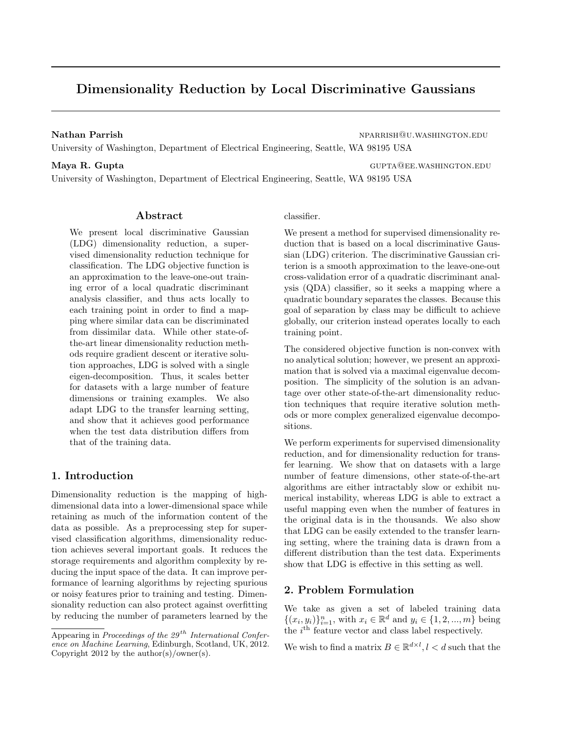# <span id="page-0-0"></span>Dimensionality Reduction by Local Discriminative Gaussians

Nathan Parrish nparrish nparrish nparrish nparrish nparrish nparrish nparrish nparrish nparrish nparrish nparrish nparrish nparrish nparrish nparrish nparrish nparrish nparrish nparrish nparrish nparrish nparrish nparrish

University of Washington, Department of Electrical Engineering, Seattle, WA 98195 USA

Maya R. Gupta Gupta gupta gupta gupta gupta gupta gupta gupta gupta gupta gupta gupta gupta gupta gupta gupta g

University of Washington, Department of Electrical Engineering, Seattle, WA 98195 USA

#### Abstract

We present local discriminative Gaussian (LDG) dimensionality reduction, a supervised dimensionality reduction technique for classification. The LDG objective function is an approximation to the leave-one-out training error of a local quadratic discriminant analysis classifier, and thus acts locally to each training point in order to find a mapping where similar data can be discriminated from dissimilar data. While other state-ofthe-art linear dimensionality reduction methods require gradient descent or iterative solution approaches, LDG is solved with a single eigen-decomposition. Thus, it scales better for datasets with a large number of feature dimensions or training examples. We also adapt LDG to the transfer learning setting, and show that it achieves good performance when the test data distribution differs from that of the training data.

### 1. Introduction

Dimensionality reduction is the mapping of highdimensional data into a lower-dimensional space while retaining as much of the information content of the data as possible. As a preprocessing step for supervised classification algorithms, dimensionality reduction achieves several important goals. It reduces the storage requirements and algorithm complexity by reducing the input space of the data. It can improve performance of learning algorithms by rejecting spurious or noisy features prior to training and testing. Dimensionality reduction can also protect against overfitting by reducing the number of parameters learned by the

#### classifier.

We present a method for supervised dimensionality reduction that is based on a local discriminative Gaussian (LDG) criterion. The discriminative Gaussian criterion is a smooth approximation to the leave-one-out cross-validation error of a quadratic discriminant analysis (QDA) classifier, so it seeks a mapping where a quadratic boundary separates the classes. Because this goal of separation by class may be difficult to achieve globally, our criterion instead operates locally to each training point.

The considered objective function is non-convex with no analytical solution; however, we present an approximation that is solved via a maximal eigenvalue decomposition. The simplicity of the solution is an advantage over other state-of-the-art dimensionality reduction techniques that require iterative solution methods or more complex generalized eigenvalue decompositions.

We perform experiments for supervised dimensionality reduction, and for dimensionality reduction for transfer learning. We show that on datasets with a large number of feature dimensions, other state-of-the-art algorithms are either intractably slow or exhibit numerical instability, whereas LDG is able to extract a useful mapping even when the number of features in the original data is in the thousands. We also show that LDG can be easily extended to the transfer learning setting, where the training data is drawn from a different distribution than the test data. Experiments show that LDG is effective in this setting as well.

### 2. Problem Formulation

We take as given a set of labeled training data  $\{(x_i, y_i)\}_{i=1}^n$ , with  $x_i \in \mathbb{R}^d$  and  $y_i \in \{1, 2, ..., m\}$  being the  $i<sup>th</sup>$  feature vector and class label respectively.

We wish to find a matrix  $B \in \mathbb{R}^{d \times l}$ ,  $l < d$  such that the

Appearing in Proceedings of the  $29^{th}$  International Conference on Machine Learning, Edinburgh, Scotland, UK, 2012. Copyright 2012 by the author(s)/owner(s).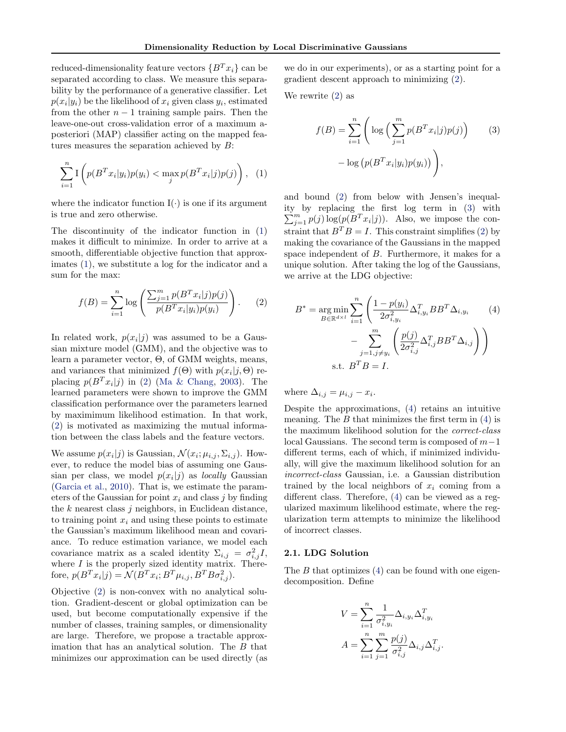<span id="page-1-0"></span>reduced-dimensionality feature vectors  $\{B^T x_i\}$  can be separated according to class. We measure this separability by the performance of a generative classifier. Let  $p(x_i|y_i)$  be the likelihood of  $x_i$  given class  $y_i$ , estimated from the other  $n-1$  training sample pairs. Then the leave-one-out cross-validation error of a maximum aposteriori (MAP) classifier acting on the mapped features measures the separation achieved by B:

$$
\sum_{i=1}^{n} \mathcal{I}\left(p(B^T x_i|y_i)p(y_i) < \max_j p(B^T x_i|j)p(j)\right), \quad (1)
$$

where the indicator function  $I(\cdot)$  is one if its argument is true and zero otherwise.

The discontinuity of the indicator function in (1) makes it difficult to minimize. In order to arrive at a smooth, differentiable objective function that approximates (1), we substitute a log for the indicator and a sum for the max:

$$
f(B) = \sum_{i=1}^{n} \log \left( \frac{\sum_{j=1}^{m} p(B^{T} x_{i} | j) p(j)}{p(B^{T} x_{i} | y_{i}) p(y_{i})} \right).
$$
 (2)

In related work,  $p(x_i|j)$  was assumed to be a Gaussian mixture model (GMM), and the objective was to learn a parameter vector, Θ, of GMM weights, means, and variances that minimized  $f(\Theta)$  with  $p(x_i|j, \Theta)$  replacing  $p(B^T x_i|j)$  in (2) [\(Ma & Chang,](#page-7-0) [2003\)](#page-7-0). The learned parameters were shown to improve the GMM classification performance over the parameters learned by maximimum likelihood estimation. In that work, (2) is motivated as maximizing the mutual information between the class labels and the feature vectors.

We assume  $p(x_i|j)$  is Gaussian,  $\mathcal{N}(x_i; \mu_{i,j}, \Sigma_{i,j})$ . However, to reduce the model bias of assuming one Gaussian per class, we model  $p(x_i|j)$  as *locally* Gaussian [\(Garcia et al.,](#page-7-0) [2010\)](#page-7-0). That is, we estimate the parameters of the Gaussian for point  $x_i$  and class j by finding the  $k$  nearest class  $j$  neighbors, in Euclidean distance, to training point  $x_i$  and using these points to estimate the Gaussian's maximum likelihood mean and covariance. To reduce estimation variance, we model each covariance matrix as a scaled identity  $\Sigma_{i,j} = \sigma_{i,j}^2 I$ , where  $I$  is the properly sized identity matrix. Therefore,  $p(B^T x_i|j) = \mathcal{N}(B^T x_i; B^T \mu_{i,j}, B^T B \sigma_{i,j}^2)$ .

Objective (2) is non-convex with no analytical solution. Gradient-descent or global optimization can be used, but become computationally expensive if the number of classes, training samples, or dimensionality are large. Therefore, we propose a tractable approximation that has an analytical solution. The B that minimizes our approximation can be used directly (as

we do in our experiments), or as a starting point for a gradient descent approach to minimizing (2).

We rewrite (2) as

$$
f(B) = \sum_{i=1}^{n} \left( \log \left( \sum_{j=1}^{m} p(B^{T} x_{i} | j) p(j) \right) \right)
$$
  
- 
$$
\log \left( p(B^{T} x_{i} | y_{i}) p(y_{i}) \right) \right),
$$
 (3)

and bound (2) from below with Jensen's inequality by replacing the first log term in ( 3) with  $\sum_{j=1}^{m} p(j) \log(p(B^T x_i | j)).$  Also, we impose the constraint that  $B^T B = I$ . This constraint simplifies (2) by making the covariance of the Gaussians in the mapped space independent of B. Furthermore, it makes for a unique solution. After taking the log of the Gaussians, we arrive at the LDG objective:

$$
B^* = \underset{B \in \mathbb{R}^{d \times l}}{\arg \min} \sum_{i=1}^n \left( \frac{1 - p(y_i)}{2\sigma_{i,y_i}^2} \Delta_{i,y_i}^T B B^T \Delta_{i,y_i} \right)
$$
\n
$$
- \sum_{j=1, j \neq y_i}^m \left( \frac{p(j)}{2\sigma_{i,j}^2} \Delta_{i,j}^T B B^T \Delta_{i,j} \right)
$$
\n
$$
\text{s.t. } B^T B = I.
$$
\n
$$
(4)
$$

where  $\Delta_{i,j} = \mu_{i,j} - x_i$ .

Despite the approximations, (4) retains an intuitive meaning. The  $B$  that minimizes the first term in (4) is the maximum likelihood solution for the correct-class local Gaussians. The second term is composed of  $m-1$ different terms, each of which, if minimized individually, will give the maximum likelihood solution for an incorrect-class Gaussian, i.e. a Gaussian distribution trained by the local neighbors of  $x_i$  coming from a different class. Therefore, (4) can be viewed as a regularized maximum likelihood estimate, where the regularization term attempts to minimize the likelihood of incorrect classes.

#### 2.1. LDG Solution

The  $B$  that optimizes  $(4)$  can be found with one eigendecomposition. Define

$$
V = \sum_{i=1}^{n} \frac{1}{\sigma_{i,y_i}^2} \Delta_{i,y_i} \Delta_{i,y_i}^T
$$

$$
A = \sum_{i=1}^{n} \sum_{j=1}^{m} \frac{p(j)}{\sigma_{i,j}^2} \Delta_{i,j} \Delta_{i,j}^T.
$$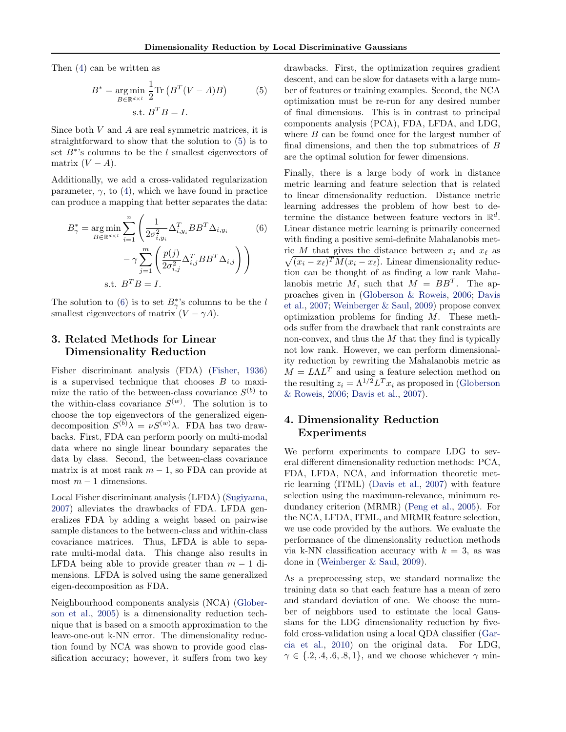<span id="page-2-0"></span>Then [\(4\)](#page-1-0) can be written as

$$
B^* = \underset{B \in \mathbb{R}^{d \times l}}{\arg \min} \frac{1}{2} \text{Tr} \left( B^T (V - A) B \right) \tag{5}
$$
  
s.t.  $B^T B = I$ .

Since both  $V$  and  $A$  are real symmetric matrices, it is straightforward to show that the solution to (5) is to set  $B^*$ 's columns to be the l smallest eigenvectors of matrix  $(V - A)$ .

Additionally, we add a cross-validated regularization parameter,  $\gamma$ , to [\(4\)](#page-1-0), which we have found in practice can produce a mapping that better separates the data:

$$
B_{\gamma}^{*} = \underset{B \in \mathbb{R}^{d \times l}}{\arg \min} \sum_{i=1}^{n} \left( \frac{1}{2\sigma_{i,y_i}^2} \Delta_{i,y_i}^T B B^T \Delta_{i,y_i} \right)
$$
\n
$$
- \gamma \sum_{j=1}^{m} \left( \frac{p(j)}{2\sigma_{i,j}^2} \Delta_{i,j}^T B B^T \Delta_{i,j} \right)
$$
\n
$$
\text{s.t. } B^T B = I.
$$
\n(6)

The solution to (6) is to set  $B^*_{\gamma}$ 's columns to be the l smallest eigenvectors of matrix  $(V - \gamma A)$ .

## 3. Related Methods for Linear Dimensionality Reduction

Fisher discriminant analysis (FDA) [\(Fisher,](#page-6-0) [1936\)](#page-6-0) is a supervised technique that chooses  $B$  to maximize the ratio of the between-class covariance  $S^{(b)}$  to the within-class covariance  $S^{(w)}$ . The solution is to choose the top eigenvectors of the generalized eigendecomposition  $S^{(b)}\lambda = \nu S^{(w)}\lambda$ . FDA has two drawbacks. First, FDA can perform poorly on multi-modal data where no single linear boundary separates the data by class. Second, the between-class covariance matrix is at most rank  $m-1$ , so FDA can provide at most  $m-1$  dimensions.

Local Fisher discriminant analysis (LFDA) [\(Sugiyama,](#page-7-0) [2007\)](#page-7-0) alleviates the drawbacks of FDA. LFDA generalizes FDA by adding a weight based on pairwise sample distances to the between-class and within-class covariance matrices. Thus, LFDA is able to separate multi-modal data. This change also results in LFDA being able to provide greater than  $m - 1$  dimensions. LFDA is solved using the same generalized eigen-decomposition as FDA.

Neighbourhood components analysis (NCA) [\(Glober](#page-7-0)[son et al.,](#page-7-0) [2005\)](#page-7-0) is a dimensionality reduction technique that is based on a smooth approximation to the leave-one-out k-NN error. The dimensionality reduction found by NCA was shown to provide good classification accuracy; however, it suffers from two key drawbacks. First, the optimization requires gradient descent, and can be slow for datasets with a large number of features or training examples. Second, the NCA optimization must be re-run for any desired number of final dimensions. This is in contrast to principal components analysis (PCA), FDA, LFDA, and LDG, where  $B$  can be found once for the largest number of final dimensions, and then the top submatrices of B are the optimal solution for fewer dimensions.

Finally, there is a large body of work in distance metric learning and feature selection that is related to linear dimensionality reduction. Distance metric learning addresses the problem of how best to determine the distance between feature vectors in  $\mathbb{R}^d$ . Linear distance metric learning is primarily concerned with finding a positive semi-definite Mahalanobis met- $\sqrt{(x_i - x_\ell)^T M (x_i - x_\ell)}$ . Linear dimensionality reducric M that gives the distance between  $x_i$  and  $x_\ell$  as tion can be thought of as finding a low rank Mahalanobis metric M, such that  $M = BB^T$ . The approaches given in [\(Globerson & Roweis,](#page-7-0) [2006;](#page-7-0) [Davis](#page-6-0) [et al.,](#page-6-0) [2007;](#page-6-0) [Weinberger & Saul,](#page-7-0) [2009\)](#page-7-0) propose convex optimization problems for finding M. These methods suffer from the drawback that rank constraints are non-convex, and thus the  $M$  that they find is typically not low rank. However, we can perform dimensionality reduction by rewriting the Mahalanobis metric as  $M = L\Lambda L^{T}$  and using a feature selection method on the resulting  $z_i = \Lambda^{1/2} L^T x_i$  as proposed in [\(Globerson](#page-7-0) [& Roweis,](#page-7-0) [2006;](#page-7-0) [Davis et al.,](#page-6-0) [2007\)](#page-6-0).

## 4. Dimensionality Reduction Experiments

We perform experiments to compare LDG to several different dimensionality reduction methods: PCA, FDA, LFDA, NCA, and information theoretic metric learning (ITML) [\(Davis et al.,](#page-6-0) [2007\)](#page-6-0) with feature selection using the maximum-relevance, minimum redundancy criterion (MRMR) [\(Peng et al.,](#page-7-0) [2005\)](#page-7-0). For the NCA, LFDA, ITML, and MRMR feature selection, we use code provided by the authors. We evaluate the performance of the dimensionality reduction methods via k-NN classification accuracy with  $k = 3$ , as was done in [\(Weinberger & Saul,](#page-7-0) [2009\)](#page-7-0).

As a preprocessing step, we standard normalize the training data so that each feature has a mean of zero and standard deviation of one. We choose the number of neighbors used to estimate the local Gaussians for the LDG dimensionality reduction by fivefold cross-validation using a local QDA classifier [\(Gar](#page-7-0)[cia et al.,](#page-7-0) [2010\)](#page-7-0) on the original data. For LDG,  $\gamma \in \{.2, .4, .6, .8, 1\}$ , and we choose whichever  $\gamma$  min-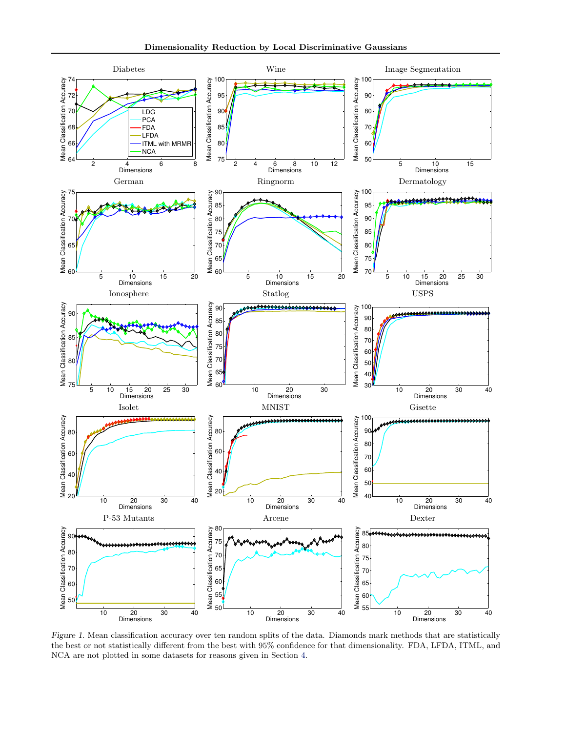<span id="page-3-0"></span>

Figure 1. Mean classification accuracy over ten random splits of the data. Diamonds mark methods that are statistically the best or not statistically different from the best with 95% confidence for that dimensionality. FDA, LFDA, ITML, and NCA are not plotted in some datasets for reasons given in Section [4.](#page-2-0)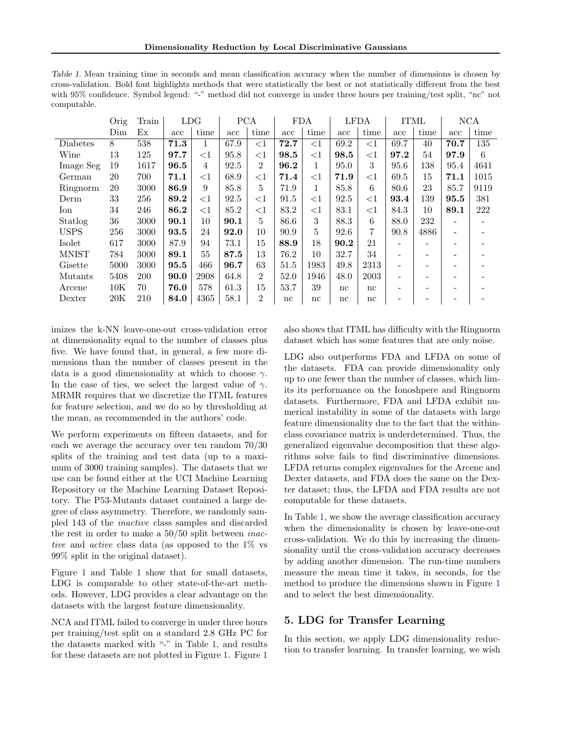<span id="page-4-0"></span>Table 1. Mean training time in seconds and mean classification accuracy when the number of dimensions is chosen by cross-validation. Bold font highlights methods that were statistically the best or not statistically different from the best with 95% confidence. Symbol legend: "-" method did not converge in under three hours per training/test split, "nc" not computable.

|              | Orig                               | Train | LDG  |        | <b>PCA</b> |                | <b>FDA</b>   |              | <b>LFDA</b> |        | <b>ITML</b> |      | NCA  |      |
|--------------|------------------------------------|-------|------|--------|------------|----------------|--------------|--------------|-------------|--------|-------------|------|------|------|
|              | $Dimmathop{\mathrm{Dim}}\nolimits$ | Еx    | acc  | time   | acc        | time           | $_{\rm acc}$ | time         | acc         | time   | acc         | time | acc  | time |
| Diabetes     | 8                                  | 538   | 71.3 | 1      | 67.9       | ${<}1$         | 72.7         | ${<}1$       | 69.2        | ${<}1$ | 69.7        | 40   | 70.7 | 135  |
| Wine         | 13                                 | 125   | 97.7 | ${<}1$ | 95.8       | ${<}1$         | 98.5         | ${<}1$       | 98.5        | ${<}1$ | 97.2        | 54   | 97.9 | 6    |
| Image Seg    | 19                                 | 1617  | 96.5 | 4      | 92.5       | $\overline{2}$ | 96.2         | $\mathbf{1}$ | 95.0        | 3      | 95.6        | 138  | 95.4 | 4641 |
| German       | 20                                 | 700   | 71.1 | ${<}1$ | 68.9       | $<$ 1          | 71.4         | ${<}1$       | 71.9        | ${<}1$ | 69.5        | 15   | 71.1 | 1015 |
| Ringnorm     | 20                                 | 3000  | 86.9 | 9      | 85.8       | 5              | 71.9         | 1            | 85.8        | 6      | 80.6        | 23   | 85.7 | 9119 |
| Derm         | 33                                 | 256   | 89.2 | ${<}1$ | 92.5       | $\leq$ 1       | 91.5         | ${<}1$       | 92.5        | ${<}1$ | 93.4        | 139  | 95.5 | 381  |
| Ion          | 34                                 | 246   | 86.2 | ${<}1$ | 85.2       | $<$ 1          | 83.2         | ${<}1$       | 83.1        | ${<}1$ | 84.3        | 10   | 89.1 | 222  |
| Statlog      | 36                                 | 3000  | 90.1 | 10     | 90.1       | 5              | 86.6         | 3            | 88.3        | 6      | 88.0        | 232  |      |      |
| <b>USPS</b>  | 256                                | 3000  | 93.5 | 24     | 92.0       | 10             | 90.9         | 5            | 92.6        | 7      | 90.8        | 4886 |      |      |
| Isolet       | 617                                | 3000  | 87.9 | 94     | 73.1       | 15             | 88.9         | 18           | 90.2        | 21     |             |      |      |      |
| <b>MNIST</b> | 784                                | 3000  | 89.1 | 55     | 87.5       | 13             | 76.2         | 10           | 32.7        | 34     |             |      |      |      |
| Gisette      | 5000                               | 3000  | 95.5 | 466    | 96.7       | 63             | 51.5         | 1983         | 49.8        | 2313   |             |      |      |      |
| Mutants      | 5408                               | 200   | 90.0 | 2908   | 64.8       | $\overline{2}$ | 52.0         | 1946         | 48.0        | 2003   |             |      |      |      |
| Arcene       | 10K                                | 70    | 76.0 | 578    | 61.3       | 15             | 53.7         | 39           | nc          | nc     |             |      |      |      |
| Dexter       | 20K                                | 210   | 84.0 | 4365   | 58.1       | 2              | nc           | nc           | nc          | nc     |             |      |      |      |

imizes the k-NN leave-one-out cross-validation error at dimensionality equal to the number of classes plus five. We have found that, in general, a few more dimensions than the number of classes present in the data is a good dimensionality at which to choose  $\gamma$ . In the case of ties, we select the largest value of  $\gamma$ . MRMR requires that we discretize the ITML features for feature selection, and we do so by thresholding at the mean, as recommended in the authors' code.

We perform experiments on fifteen datasets, and for each we average the accuracy over ten random 70/30 splits of the training and test data (up to a maximum of 3000 training samples). The datasets that we use can be found either at the UCI Machine Learning Repository or the Machine Learning Dataset Repository. The P53-Mutants dataset contained a large degree of class asymmetry. Therefore, we randomly sampled 143 of the inactive class samples and discarded the rest in order to make a 50/50 split between inactive and active class data (as opposed to the 1% vs 99% split in the original dataset).

Figure [1](#page-3-0) and Table 1 show that for small datasets, LDG is comparable to other state-of-the-art methods. However, LDG provides a clear advantage on the datasets with the largest feature dimensionality.

NCA and ITML failed to converge in under three hours per training/test split on a standard 2.8 GHz PC for the datasets marked with "-" in Table 1, and results for these datasets are not plotted in Figure [1.](#page-3-0) Figure [1](#page-3-0)

also shows that ITML has difficulty with the Ringnorm dataset which has some features that are only noise.

LDG also outperforms FDA and LFDA on some of the datasets. FDA can provide dimensionality only up to one fewer than the number of classes, which limits its performance on the Ionoshpere and Ringnorm datasets. Furthermore, FDA and LFDA exhibit numerical instability in some of the datasets with large feature dimensionality due to the fact that the withinclass covariance matrix is underdetermined. Thus, the generalized eigenvalue decomposition that these algorithms solve fails to find discriminative dimensions. LFDA returns complex eigenvalues for the Arcene and Dexter datasets, and FDA does the same on the Dexter dataset; thus, the LFDA and FDA results are not computable for these datasets.

In Table 1, we show the average classification accuracy when the dimensionality is chosen by leave-one-out cross-validation. We do this by increasing the dimensionality until the cross-validation accuracy decreases by adding another dimension. The run-time numbers measure the mean time it takes, in seconds, for the method to produce the dimensions shown in Figure [1](#page-3-0) and to select the best dimensionality.

## 5. LDG for Transfer Learning

In this section, we apply LDG dimensionality reduction to transfer learning. In transfer learning, we wish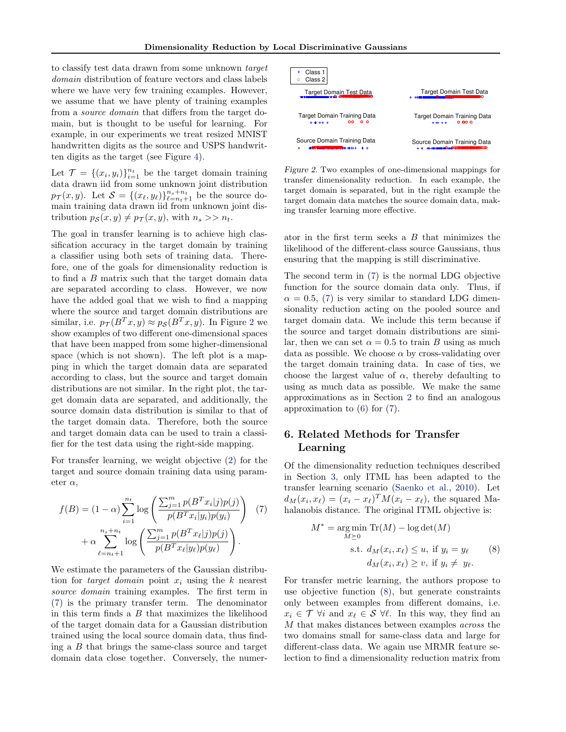to classify test data drawn from some unknown target domain distribution of feature vectors and class labels where we have very few training examples. However, we assume that we have plenty of training examples from a source domain that differs from the target domain, but is thought to be useful for learning. For example, in our experiments we treat resized MNIST handwritten digits as the source and USPS handwritten digits as the target (see Figure [4\)](#page-6-0).

Let  $\mathcal{T} = \{(x_i, y_i)\}_{i=1}^{n_t}$  be the target domain training data drawn iid from some unknown joint distribution  $p_{\mathcal{T}}(x, y)$ . Let  $\mathcal{S} = \{(x_{\ell}, y_{\ell})\}_{\ell=n_t+1}^{n_s+n_t}$  be the source domain training data drawn iid from unknown joint distribution  $p_{\mathcal{S}}(x, y) \neq p_{\mathcal{T}}(x, y)$ , with  $n_s >> n_t$ .

The goal in transfer learning is to achieve high classification accuracy in the target domain by training a classifier using both sets of training data. Therefore, one of the goals for dimensionality reduction is to find a B matrix such that the target domain data are separated according to class. However, we now have the added goal that we wish to find a mapping where the source and target domain distributions are similar, i.e.  $p_{\mathcal{T}}(B^T x, y) \approx p_{\mathcal{S}}(B^T x, y)$ . In Figure 2 we show examples of two different one-dimensional spaces that have been mapped from some higher-dimensional space (which is not shown). The left plot is a mapping in which the target domain data are separated according to class, but the source and target domain distributions are not similar. In the right plot, the target domain data are separated, and additionally, the source domain data distribution is similar to that of the target domain data. Therefore, both the source and target domain data can be used to train a classifier for the test data using the right-side mapping.

For transfer learning, we weight objective [\(2\)](#page-1-0) for the target and source domain training data using parameter  $\alpha$ ,

$$
f(B) = (1 - \alpha) \sum_{i=1}^{n_t} \log \left( \frac{\sum_{j=1}^{m} p(B^T x_i | j) p(j)}{p(B^T x_i | y_i) p(y_i)} \right) (7) + \alpha \sum_{\ell=n_t+1}^{n_s+n_t} \log \left( \frac{\sum_{j=1}^{m} p(B^T x_\ell | j) p(j)}{p(B^T x_\ell | y_\ell) p(y_\ell)} \right).
$$

We estimate the parameters of the Gaussian distribution for *target domain* point  $x_i$  using the k nearest source domain training examples. The first term in (7) is the primary transfer term. The denominator in this term finds a  $B$  that maximizes the likelihood of the target domain data for a Gaussian distribution trained using the local source domain data, thus finding a B that brings the same-class source and target domain data close together. Conversely, the numer-



Figure 2. Two examples of one-dimensional mappings for transfer dimensionality reduction. In each example, the target domain is separated, but in the right example the target domain data matches the source domain data, making transfer learning more effective.

ator in the first term seeks a  $B$  that minimizes the likelihood of the different-class source Gaussians, thus ensuring that the mapping is still discriminative.

The second term in (7) is the normal LDG objective function for the source domain data only. Thus, if  $\alpha = 0.5$ , (7) is very similar to standard LDG dimensionality reduction acting on the pooled source and target domain data. We include this term because if the source and target domain distributions are similar, then we can set  $\alpha = 0.5$  to train B using as much data as possible. We choose  $\alpha$  by cross-validating over the target domain training data. In case of ties, we choose the largest value of  $\alpha$ , thereby defaulting to using as much data as possible. We make the same approximations as in Section [2](#page-0-0) to find an analogous approximation to [\(6\)](#page-2-0) for (7).

## 6. Related Methods for Transfer Learning

Of the dimensionality reduction techniques described in Section [3,](#page-2-0) only ITML has been adapted to the transfer learning scenario [\(Saenko et al.,](#page-7-0) [2010\)](#page-7-0). Let  $d_M(x_i, x_\ell) = (x_i - x_\ell)^T M(x_i - x_\ell)$ , the squared Mahalanobis distance. The original ITML objective is:

$$
M^* = \underset{M \ge 0}{\arg \min} \operatorname{Tr}(M) - \log \det(M)
$$
  
s.t.  $d_M(x_i, x_\ell) \le u$ , if  $y_i = y_\ell$  (8)  
 $d_M(x_i, x_\ell) \ge v$ , if  $y_i \ne y_\ell$ .

For transfer metric learning, the authors propose to use objective function (8), but generate constraints only between examples from different domains, i.e.  $x_i \in \mathcal{T}$   $\forall i$  and  $x_\ell \in \mathcal{S}$   $\forall \ell$ . In this way, they find an M that makes distances between examples across the two domains small for same-class data and large for different-class data. We again use MRMR feature selection to find a dimensionality reduction matrix from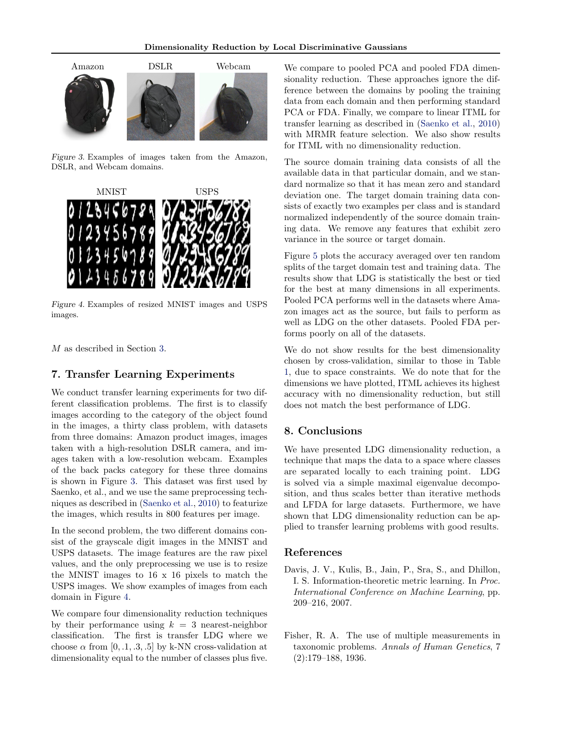<span id="page-6-0"></span>

Figure 3. Examples of images taken from the Amazon, DSLR, and Webcam domains.



Figure 4. Examples of resized MNIST images and USPS images.

M as described in Section [3.](#page-2-0)

### 7. Transfer Learning Experiments

We conduct transfer learning experiments for two different classification problems. The first is to classify images according to the category of the object found in the images, a thirty class problem, with datasets from three domains: Amazon product images, images taken with a high-resolution DSLR camera, and images taken with a low-resolution webcam. Examples of the back packs category for these three domains is shown in Figure 3. This dataset was first used by Saenko, et al., and we use the same preprocessing techniques as described in [\(Saenko et al.,](#page-7-0) [2010\)](#page-7-0) to featurize the images, which results in 800 features per image.

In the second problem, the two different domains consist of the grayscale digit images in the MNIST and USPS datasets. The image features are the raw pixel values, and the only preprocessing we use is to resize the MNIST images to 16 x 16 pixels to match the USPS images. We show examples of images from each domain in Figure 4.

We compare four dimensionality reduction techniques by their performance using  $k = 3$  nearest-neighbor classification. The first is transfer LDG where we choose  $\alpha$  from [0, .1, .3, .5] by k-NN cross-validation at dimensionality equal to the number of classes plus five.

We compare to pooled PCA and pooled FDA dimensionality reduction. These approaches ignore the difference between the domains by pooling the training data from each domain and then performing standard PCA or FDA. Finally, we compare to linear ITML for transfer learning as described in [\(Saenko et al.,](#page-7-0) [2010\)](#page-7-0) with MRMR feature selection. We also show results for ITML with no dimensionality reduction.

The source domain training data consists of all the available data in that particular domain, and we standard normalize so that it has mean zero and standard deviation one. The target domain training data consists of exactly two examples per class and is standard normalized independently of the source domain training data. We remove any features that exhibit zero variance in the source or target domain.

Figure [5](#page-7-0) plots the accuracy averaged over ten random splits of the target domain test and training data. The results show that LDG is statistically the best or tied for the best at many dimensions in all experiments. Pooled PCA performs well in the datasets where Amazon images act as the source, but fails to perform as well as LDG on the other datasets. Pooled FDA performs poorly on all of the datasets.

We do not show results for the best dimensionality chosen by cross-validation, similar to those in Table [1,](#page-4-0) due to space constraints. We do note that for the dimensions we have plotted, ITML achieves its highest accuracy with no dimensionality reduction, but still does not match the best performance of LDG.

### 8. Conclusions

We have presented LDG dimensionality reduction, a technique that maps the data to a space where classes are separated locally to each training point. LDG is solved via a simple maximal eigenvalue decomposition, and thus scales better than iterative methods and LFDA for large datasets. Furthermore, we have shown that LDG dimensionality reduction can be applied to transfer learning problems with good results.

#### References

- Davis, J. V., Kulis, B., Jain, P., Sra, S., and Dhillon, I. S. Information-theoretic metric learning. In Proc. International Conference on Machine Learning, pp. 209–216, 2007.
- Fisher, R. A. The use of multiple measurements in taxonomic problems. Annals of Human Genetics, 7 (2):179–188, 1936.